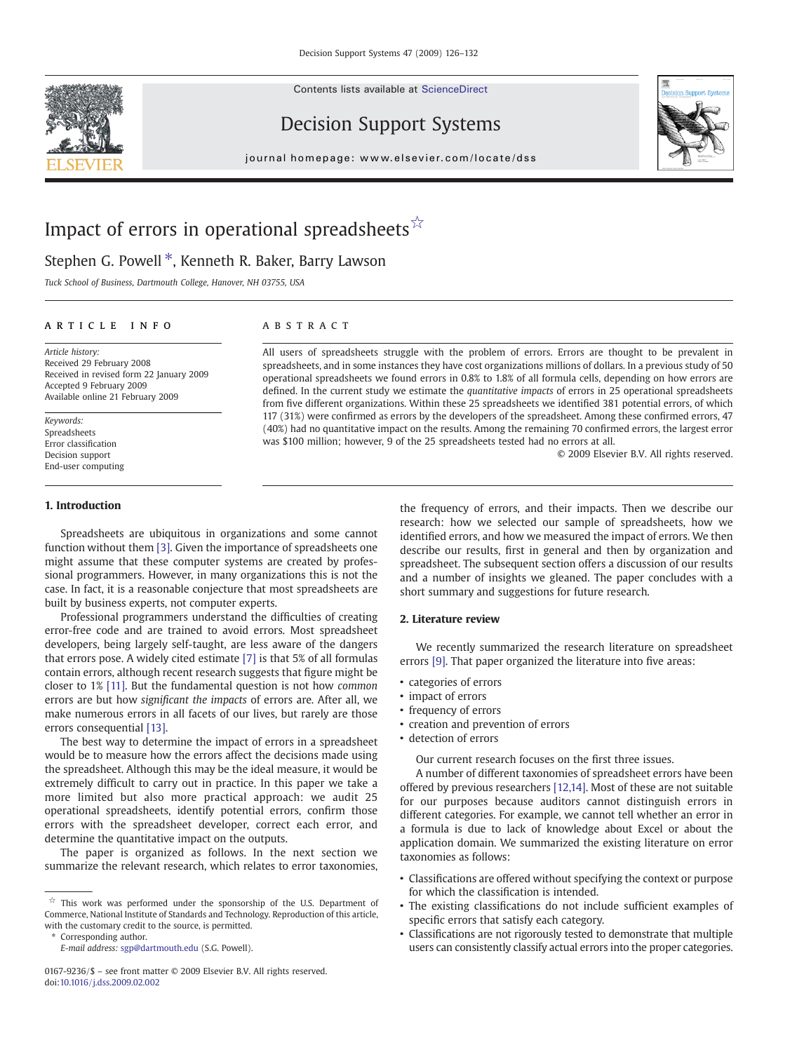Contents lists available at [ScienceDirect](http://www.sciencedirect.com/science/journal/01679236)



## Decision Support Systems



journal homepage: www.elsevier.com/locate/dss

# Impact of errors in operational spreadsheets<sup>☆</sup>

### Stephen G. Powell \*, Kenneth R. Baker, Barry Lawson

Tuck School of Business, Dartmouth College, Hanover, NH 03755, USA

#### article info abstract

Article history: Received 29 February 2008 Received in revised form 22 January 2009 Accepted 9 February 2009 Available online 21 February 2009

Keywords: Spreadsheets Error classification Decision support End-user computing

#### 1. Introduction

All users of spreadsheets struggle with the problem of errors. Errors are thought to be prevalent in spreadsheets, and in some instances they have cost organizations millions of dollars. In a previous study of 50 operational spreadsheets we found errors in 0.8% to 1.8% of all formula cells, depending on how errors are defined. In the current study we estimate the *quantitative impacts* of errors in 25 operational spreadsheets from five different organizations. Within these 25 spreadsheets we identified 381 potential errors, of which 117 (31%) were confirmed as errors by the developers of the spreadsheet. Among these confirmed errors, 47 (40%) had no quantitative impact on the results. Among the remaining 70 confirmed errors, the largest error was \$100 million; however, 9 of the 25 spreadsheets tested had no errors at all.

© 2009 Elsevier B.V. All rights reserved.

Spreadsheets are ubiquitous in organizations and some cannot function without them [\[3\]](#page-6-0). Given the importance of spreadsheets one might assume that these computer systems are created by professional programmers. However, in many organizations this is not the case. In fact, it is a reasonable conjecture that most spreadsheets are built by business experts, not computer experts.

Professional programmers understand the difficulties of creating error-free code and are trained to avoid errors. Most spreadsheet developers, being largely self-taught, are less aware of the dangers that errors pose. A widely cited estimate [\[7\]](#page-6-0) is that 5% of all formulas contain errors, although recent research suggests that figure might be closer to 1% [\[11\]](#page-6-0). But the fundamental question is not how common errors are but how significant the impacts of errors are. After all, we make numerous errors in all facets of our lives, but rarely are those errors consequential [\[13\].](#page-6-0)

The best way to determine the impact of errors in a spreadsheet would be to measure how the errors affect the decisions made using the spreadsheet. Although this may be the ideal measure, it would be extremely difficult to carry out in practice. In this paper we take a more limited but also more practical approach: we audit 25 operational spreadsheets, identify potential errors, confirm those errors with the spreadsheet developer, correct each error, and determine the quantitative impact on the outputs.

The paper is organized as follows. In the next section we summarize the relevant research, which relates to error taxonomies, the frequency of errors, and their impacts. Then we describe our research: how we selected our sample of spreadsheets, how we identified errors, and how we measured the impact of errors. We then describe our results, first in general and then by organization and spreadsheet. The subsequent section offers a discussion of our results and a number of insights we gleaned. The paper concludes with a short summary and suggestions for future research.

#### 2. Literature review

We recently summarized the research literature on spreadsheet errors [\[9\].](#page-6-0) That paper organized the literature into five areas:

- categories of errors
- impact of errors
- frequency of errors
- creation and prevention of errors
- detection of errors

Our current research focuses on the first three issues.

A number of different taxonomies of spreadsheet errors have been offered by previous researchers [\[12,14\].](#page-6-0) Most of these are not suitable for our purposes because auditors cannot distinguish errors in different categories. For example, we cannot tell whether an error in a formula is due to lack of knowledge about Excel or about the application domain. We summarized the existing literature on error taxonomies as follows:

- Classifications are offered without specifying the context or purpose for which the classification is intended.
- The existing classifications do not include sufficient examples of specific errors that satisfy each category.
- Classifications are not rigorously tested to demonstrate that multiple users can consistently classify actual errors into the proper categories.

 $\overrightarrow{x}$  This work was performed under the sponsorship of the U.S. Department of Commerce, National Institute of Standards and Technology. Reproduction of this article, with the customary credit to the source, is permitted.

<sup>⁎</sup> Corresponding author.

E-mail address: [sgp@dartmouth.edu](mailto:sgp@dartmouth.edu) (S.G. Powell).

<sup>0167-9236/\$</sup> – see front matter © 2009 Elsevier B.V. All rights reserved. doi[:10.1016/j.dss.2009.02.002](http://dx.doi.org/10.1016/j.dss.2009.02.002)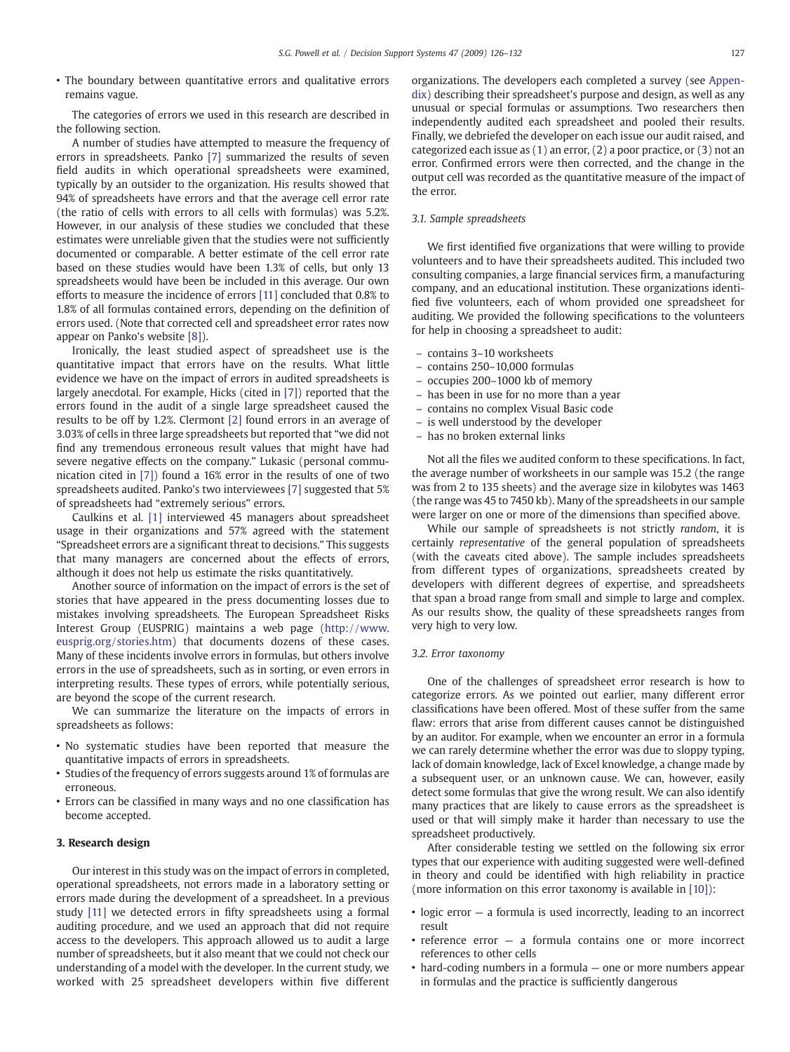• The boundary between quantitative errors and qualitative errors remains vague.

The categories of errors we used in this research are described in the following section.

A number of studies have attempted to measure the frequency of errors in spreadsheets. Panko [\[7\]](#page-6-0) summarized the results of seven field audits in which operational spreadsheets were examined, typically by an outsider to the organization. His results showed that 94% of spreadsheets have errors and that the average cell error rate (the ratio of cells with errors to all cells with formulas) was 5.2%. However, in our analysis of these studies we concluded that these estimates were unreliable given that the studies were not sufficiently documented or comparable. A better estimate of the cell error rate based on these studies would have been 1.3% of cells, but only 13 spreadsheets would have been be included in this average. Our own efforts to measure the incidence of errors [\[11\]](#page-6-0) concluded that 0.8% to 1.8% of all formulas contained errors, depending on the definition of errors used. (Note that corrected cell and spreadsheet error rates now appear on Panko's website [\[8\]\)](#page-6-0).

Ironically, the least studied aspect of spreadsheet use is the quantitative impact that errors have on the results. What little evidence we have on the impact of errors in audited spreadsheets is largely anecdotal. For example, Hicks (cited in [\[7\]](#page-6-0)) reported that the errors found in the audit of a single large spreadsheet caused the results to be off by 1.2%. Clermont [\[2\]](#page-6-0) found errors in an average of 3.03% of cells in three large spreadsheets but reported that "we did not find any tremendous erroneous result values that might have had severe negative effects on the company." Lukasic (personal communication cited in [\[7\]\)](#page-6-0) found a 16% error in the results of one of two spreadsheets audited. Panko's two interviewees [\[7\]](#page-6-0) suggested that 5% of spreadsheets had "extremely serious" errors.

Caulkins et al. [\[1\]](#page-6-0) interviewed 45 managers about spreadsheet usage in their organizations and 57% agreed with the statement "Spreadsheet errors are a significant threat to decisions." This suggests that many managers are concerned about the effects of errors, although it does not help us estimate the risks quantitatively.

Another source of information on the impact of errors is the set of stories that have appeared in the press documenting losses due to mistakes involving spreadsheets. The European Spreadsheet Risks Interest Group (EUSPRIG) maintains a web page ([http://www.](http://www.eusprig.org/stories.htm) [eusprig.org/stories.htm\)](http://www.eusprig.org/stories.htm) that documents dozens of these cases. Many of these incidents involve errors in formulas, but others involve errors in the use of spreadsheets, such as in sorting, or even errors in interpreting results. These types of errors, while potentially serious, are beyond the scope of the current research.

We can summarize the literature on the impacts of errors in spreadsheets as follows:

- No systematic studies have been reported that measure the quantitative impacts of errors in spreadsheets.
- Studies of the frequency of errors suggests around 1% of formulas are erroneous.
- Errors can be classified in many ways and no one classification has become accepted.

#### 3. Research design

Our interest in this study was on the impact of errors in completed, operational spreadsheets, not errors made in a laboratory setting or errors made during the development of a spreadsheet. In a previous study [\[11\]](#page-6-0) we detected errors in fifty spreadsheets using a formal auditing procedure, and we used an approach that did not require access to the developers. This approach allowed us to audit a large number of spreadsheets, but it also meant that we could not check our understanding of a model with the developer. In the current study, we worked with 25 spreadsheet developers within five different organizations. The developers each completed a survey (see [Appen](#page-5-0)[dix\)](#page-5-0) describing their spreadsheet's purpose and design, as well as any unusual or special formulas or assumptions. Two researchers then independently audited each spreadsheet and pooled their results. Finally, we debriefed the developer on each issue our audit raised, and categorized each issue as (1) an error, (2) a poor practice, or (3) not an error. Confirmed errors were then corrected, and the change in the output cell was recorded as the quantitative measure of the impact of the error.

#### 3.1. Sample spreadsheets

We first identified five organizations that were willing to provide volunteers and to have their spreadsheets audited. This included two consulting companies, a large financial services firm, a manufacturing company, and an educational institution. These organizations identified five volunteers, each of whom provided one spreadsheet for auditing. We provided the following specifications to the volunteers for help in choosing a spreadsheet to audit:

- contains 3–10 worksheets
- contains 250–10,000 formulas
- occupies 200–1000 kb of memory
- has been in use for no more than a year
- contains no complex Visual Basic code
- is well understood by the developer
- has no broken external links

Not all the files we audited conform to these specifications. In fact, the average number of worksheets in our sample was 15.2 (the range was from 2 to 135 sheets) and the average size in kilobytes was 1463 (the range was 45 to 7450 kb). Many of the spreadsheets in our sample were larger on one or more of the dimensions than specified above.

While our sample of spreadsheets is not strictly random, it is certainly representative of the general population of spreadsheets (with the caveats cited above). The sample includes spreadsheets from different types of organizations, spreadsheets created by developers with different degrees of expertise, and spreadsheets that span a broad range from small and simple to large and complex. As our results show, the quality of these spreadsheets ranges from very high to very low.

#### 3.2. Error taxonomy

One of the challenges of spreadsheet error research is how to categorize errors. As we pointed out earlier, many different error classifications have been offered. Most of these suffer from the same flaw: errors that arise from different causes cannot be distinguished by an auditor. For example, when we encounter an error in a formula we can rarely determine whether the error was due to sloppy typing, lack of domain knowledge, lack of Excel knowledge, a change made by a subsequent user, or an unknown cause. We can, however, easily detect some formulas that give the wrong result. We can also identify many practices that are likely to cause errors as the spreadsheet is used or that will simply make it harder than necessary to use the spreadsheet productively.

After considerable testing we settled on the following six error types that our experience with auditing suggested were well-defined in theory and could be identified with high reliability in practice (more information on this error taxonomy is available in [\[10\]\)](#page-6-0):

- logic error a formula is used incorrectly, leading to an incorrect result
- reference error a formula contains one or more incorrect references to other cells
- hard-coding numbers in a formula one or more numbers appear in formulas and the practice is sufficiently dangerous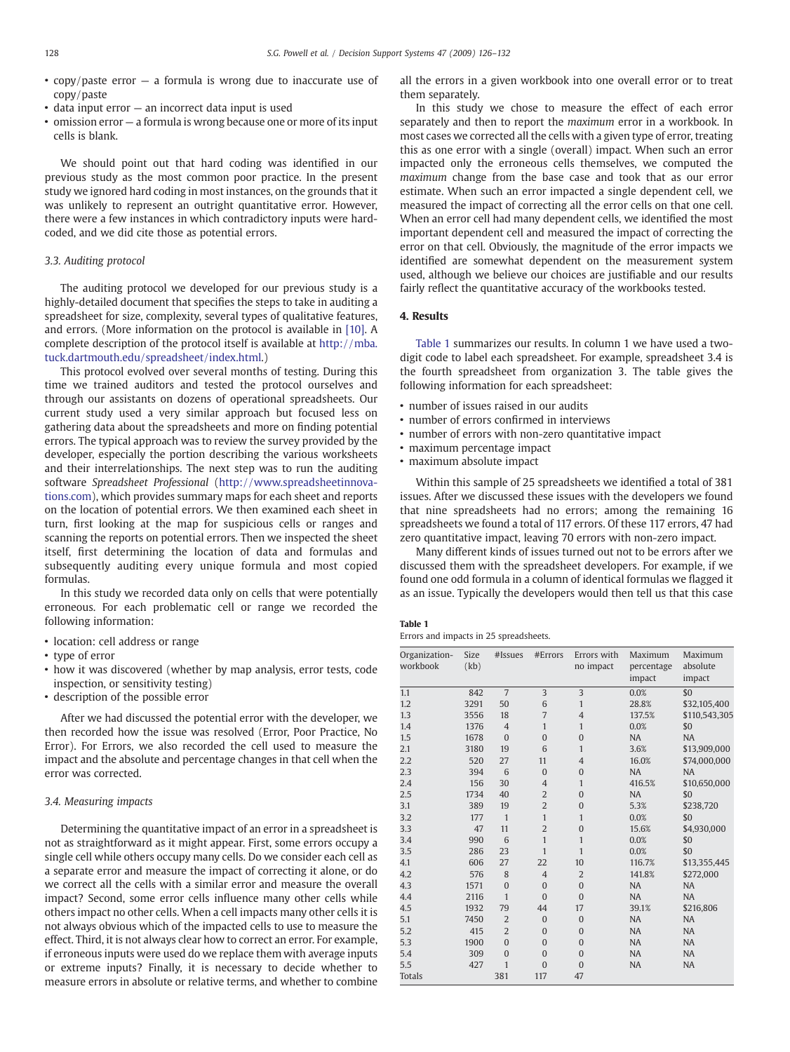- copy/paste error a formula is wrong due to inaccurate use of copy/paste
- data input error an incorrect data input is used
- omission error a formula is wrong because one or more of its input cells is blank.

We should point out that hard coding was identified in our previous study as the most common poor practice. In the present study we ignored hard coding in most instances, on the grounds that it was unlikely to represent an outright quantitative error. However, there were a few instances in which contradictory inputs were hardcoded, and we did cite those as potential errors.

#### 3.3. Auditing protocol

The auditing protocol we developed for our previous study is a highly-detailed document that specifies the steps to take in auditing a spreadsheet for size, complexity, several types of qualitative features, and errors. (More information on the protocol is available in [\[10\].](#page-6-0) A complete description of the protocol itself is available at [http://mba.](http://mba.tuck.dartmouth.edu/spreadsheet/index.html) [tuck.dartmouth.edu/spreadsheet/index.html](http://mba.tuck.dartmouth.edu/spreadsheet/index.html).)

This protocol evolved over several months of testing. During this time we trained auditors and tested the protocol ourselves and through our assistants on dozens of operational spreadsheets. Our current study used a very similar approach but focused less on gathering data about the spreadsheets and more on finding potential errors. The typical approach was to review the survey provided by the developer, especially the portion describing the various worksheets and their interrelationships. The next step was to run the auditing software Spreadsheet Professional [\(http://www.spreadsheetinnova](http://www.spreadsheetinnovations.com)[tions.com\)](http://www.spreadsheetinnovations.com), which provides summary maps for each sheet and reports on the location of potential errors. We then examined each sheet in turn, first looking at the map for suspicious cells or ranges and scanning the reports on potential errors. Then we inspected the sheet itself, first determining the location of data and formulas and subsequently auditing every unique formula and most copied formulas.

In this study we recorded data only on cells that were potentially erroneous. For each problematic cell or range we recorded the following information:

- location: cell address or range
- type of error
- how it was discovered (whether by map analysis, error tests, code inspection, or sensitivity testing)
- description of the possible error

After we had discussed the potential error with the developer, we then recorded how the issue was resolved (Error, Poor Practice, No Error). For Errors, we also recorded the cell used to measure the impact and the absolute and percentage changes in that cell when the error was corrected.

#### 3.4. Measuring impacts

Determining the quantitative impact of an error in a spreadsheet is not as straightforward as it might appear. First, some errors occupy a single cell while others occupy many cells. Do we consider each cell as a separate error and measure the impact of correcting it alone, or do we correct all the cells with a similar error and measure the overall impact? Second, some error cells influence many other cells while others impact no other cells. When a cell impacts many other cells it is not always obvious which of the impacted cells to use to measure the effect. Third, it is not always clear how to correct an error. For example, if erroneous inputs were used do we replace them with average inputs or extreme inputs? Finally, it is necessary to decide whether to measure errors in absolute or relative terms, and whether to combine

all the errors in a given workbook into one overall error or to treat them separately.

In this study we chose to measure the effect of each error separately and then to report the maximum error in a workbook. In most cases we corrected all the cells with a given type of error, treating this as one error with a single (overall) impact. When such an error impacted only the erroneous cells themselves, we computed the maximum change from the base case and took that as our error estimate. When such an error impacted a single dependent cell, we measured the impact of correcting all the error cells on that one cell. When an error cell had many dependent cells, we identified the most important dependent cell and measured the impact of correcting the error on that cell. Obviously, the magnitude of the error impacts we identified are somewhat dependent on the measurement system used, although we believe our choices are justifiable and our results fairly reflect the quantitative accuracy of the workbooks tested.

#### 4. Results

Table 1 summarizes our results. In column 1 we have used a twodigit code to label each spreadsheet. For example, spreadsheet 3.4 is the fourth spreadsheet from organization 3. The table gives the following information for each spreadsheet:

- number of issues raised in our audits
- number of errors confirmed in interviews
- number of errors with non-zero quantitative impact
- maximum percentage impact
- maximum absolute impact

Within this sample of 25 spreadsheets we identified a total of 381 issues. After we discussed these issues with the developers we found that nine spreadsheets had no errors; among the remaining 16 spreadsheets we found a total of 117 errors. Of these 117 errors, 47 had zero quantitative impact, leaving 70 errors with non-zero impact.

Many different kinds of issues turned out not to be errors after we discussed them with the spreadsheet developers. For example, if we found one odd formula in a column of identical formulas we flagged it as an issue. Typically the developers would then tell us that this case

#### Table 1

Errors and impacts in 25 spreadsheets.

| Organization-<br>workbook | Size<br>(kb) | #Issues        | #Errors        | Errors with<br>no impact | Maximum<br>percentage<br>impact | Maximum<br>absolute<br>impact |
|---------------------------|--------------|----------------|----------------|--------------------------|---------------------------------|-------------------------------|
| 1.1                       | 842          | $\overline{7}$ | 3              | 3                        | 0.0%                            | \$0                           |
| 1.2                       | 3291         | 50             | 6              | $\mathbf{1}$             | 28.8%                           | \$32,105,400                  |
| 1.3                       | 3556         | 18             | 7              | $\overline{4}$           | 137.5%                          | \$110,543,305                 |
| 1.4                       | 1376         | $\overline{4}$ | $\mathbf{1}$   | $\mathbf{1}$             | 0.0%                            | \$0                           |
| 1.5                       | 1678         | $\Omega$       | $\Omega$       | $\Omega$                 | <b>NA</b>                       | <b>NA</b>                     |
| 2.1                       | 3180         | 19             | 6              | $\mathbf{1}$             | 3.6%                            | \$13,909,000                  |
| 2.2                       | 520          | 27             | 11             | $\overline{4}$           | 16.0%                           | \$74,000,000                  |
| 2.3                       | 394          | 6              | $\overline{0}$ | $\Omega$                 | <b>NA</b>                       | <b>NA</b>                     |
| 2.4                       | 156          | 30             | $\overline{4}$ | $\mathbf{1}$             | 416.5%                          | \$10,650,000                  |
| 2.5                       | 1734         | 40             | $\overline{2}$ | $\Omega$                 | <b>NA</b>                       | \$0                           |
| 3.1                       | 389          | 19             | $\overline{c}$ | $\overline{0}$           | 5.3%                            | \$238,720                     |
| 3.2                       | 177          | $\mathbf{1}$   | $\mathbf{1}$   | $\mathbf{1}$             | 0.0%                            | \$0                           |
| 3.3                       | 47           | 11             | $\overline{2}$ | $\overline{0}$           | 15.6%                           | \$4,930,000                   |
| 3.4                       | 990          | 6              | $\mathbf{1}$   | $\mathbf{1}$             | 0.0%                            | \$0                           |
| 3.5                       | 286          | 23             | $\mathbf{1}$   | $\overline{1}$           | 0.0%                            | \$0                           |
| 4.1                       | 606          | 27             | 22             | 10                       | 116.7%                          | \$13,355,445                  |
| 4.2                       | 576          | 8              | $\overline{4}$ | $\overline{2}$           | 141.8%                          | \$272,000                     |
| 4.3                       | 1571         | $\Omega$       | $\Omega$       | $\Omega$                 | <b>NA</b>                       | <b>NA</b>                     |
| 4.4                       | 2116         | $\mathbf{1}$   | $\Omega$       | $\Omega$                 | <b>NA</b>                       | <b>NA</b>                     |
| 4.5                       | 1932         | 79             | 44             | 17                       | 39.1%                           | \$216,806                     |
| 5.1                       | 7450         | $\overline{2}$ | $\overline{0}$ | $\Omega$                 | <b>NA</b>                       | <b>NA</b>                     |
| 5.2                       | 415          | $\overline{2}$ | $\Omega$       | $\Omega$                 | <b>NA</b>                       | <b>NA</b>                     |
| 5.3                       | 1900         | $\overline{0}$ | $\Omega$       | $\Omega$                 | <b>NA</b>                       | <b>NA</b>                     |
| 5.4                       | 309          | $\overline{0}$ | $\Omega$       | $\Omega$                 | <b>NA</b>                       | <b>NA</b>                     |
| 5.5                       | 427          | $\overline{1}$ | $\Omega$       | $\Omega$                 | <b>NA</b>                       | <b>NA</b>                     |
| <b>Totals</b>             |              | 381            | 117            | 47                       |                                 |                               |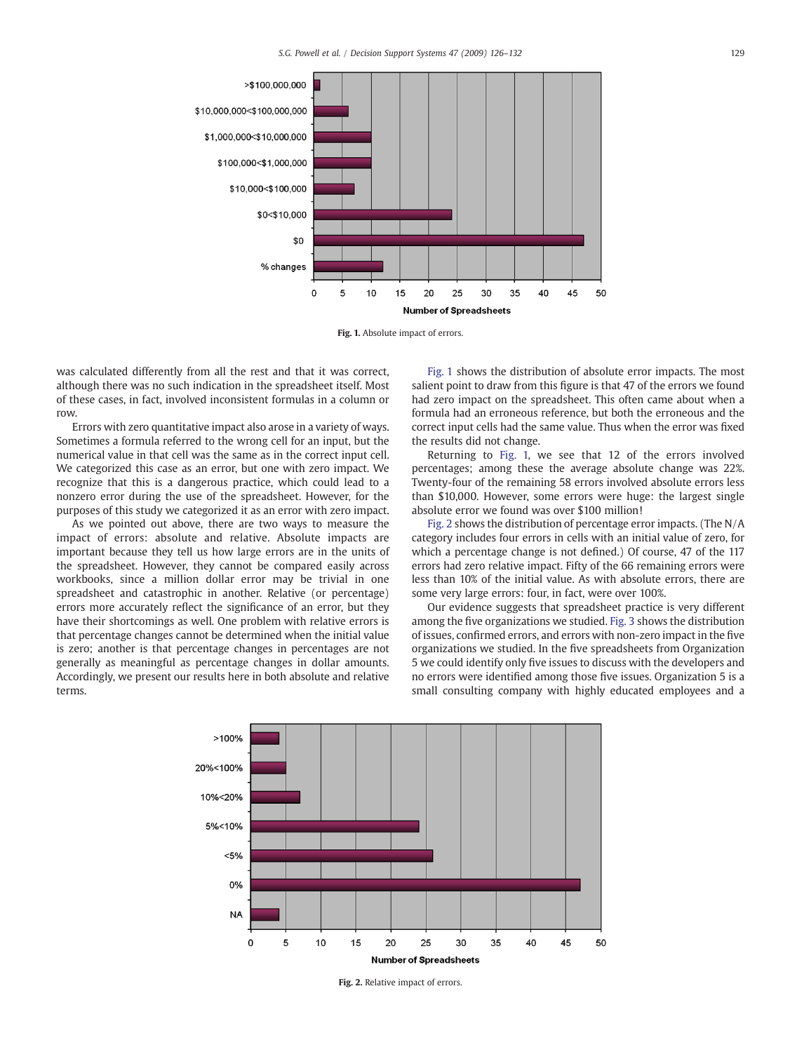

Fig. 1. Absolute impact of errors.

was calculated differently from all the rest and that it was correct, although there was no such indication in the spreadsheet itself. Most of these cases, in fact, involved inconsistent formulas in a column or row.

Errors with zero quantitative impact also arose in a variety of ways. Sometimes a formula referred to the wrong cell for an input, but the numerical value in that cell was the same as in the correct input cell. We categorized this case as an error, but one with zero impact. We recognize that this is a dangerous practice, which could lead to a nonzero error during the use of the spreadsheet. However, for the purposes of this study we categorized it as an error with zero impact.

As we pointed out above, there are two ways to measure the impact of errors: absolute and relative. Absolute impacts are important because they tell us how large errors are in the units of the spreadsheet. However, they cannot be compared easily across workbooks, since a million dollar error may be trivial in one spreadsheet and catastrophic in another. Relative (or percentage) errors more accurately reflect the significance of an error, but they have their shortcomings as well. One problem with relative errors is that percentage changes cannot be determined when the initial value is zero; another is that percentage changes in percentages are not generally as meaningful as percentage changes in dollar amounts. Accordingly, we present our results here in both absolute and relative terms.

Fig. 1 shows the distribution of absolute error impacts. The most salient point to draw from this figure is that 47 of the errors we found had zero impact on the spreadsheet. This often came about when a formula had an erroneous reference, but both the erroneous and the correct input cells had the same value. Thus when the error was fixed the results did not change.

Returning to Fig. 1, we see that 12 of the errors involved percentages; among these the average absolute change was 22%. Twenty-four of the remaining 58 errors involved absolute errors less than \$10,000. However, some errors were huge: the largest single absolute error we found was over \$100 million!

Fig. 2 shows the distribution of percentage error impacts. (The N/A category includes four errors in cells with an initial value of zero, for which a percentage change is not defined.) Of course, 47 of the 117 errors had zero relative impact. Fifty of the 66 remaining errors were less than 10% of the initial value. As with absolute errors, there are some very large errors: four, in fact, were over 100%.

Our evidence suggests that spreadsheet practice is very different among the five organizations we studied. [Fig. 3](#page-4-0) shows the distribution of issues, confirmed errors, and errors with non-zero impact in the five organizations we studied. In the five spreadsheets from Organization 5 we could identify only five issues to discuss with the developers and no errors were identified among those five issues. Organization 5 is a small consulting company with highly educated employees and a



Fig. 2. Relative impact of errors.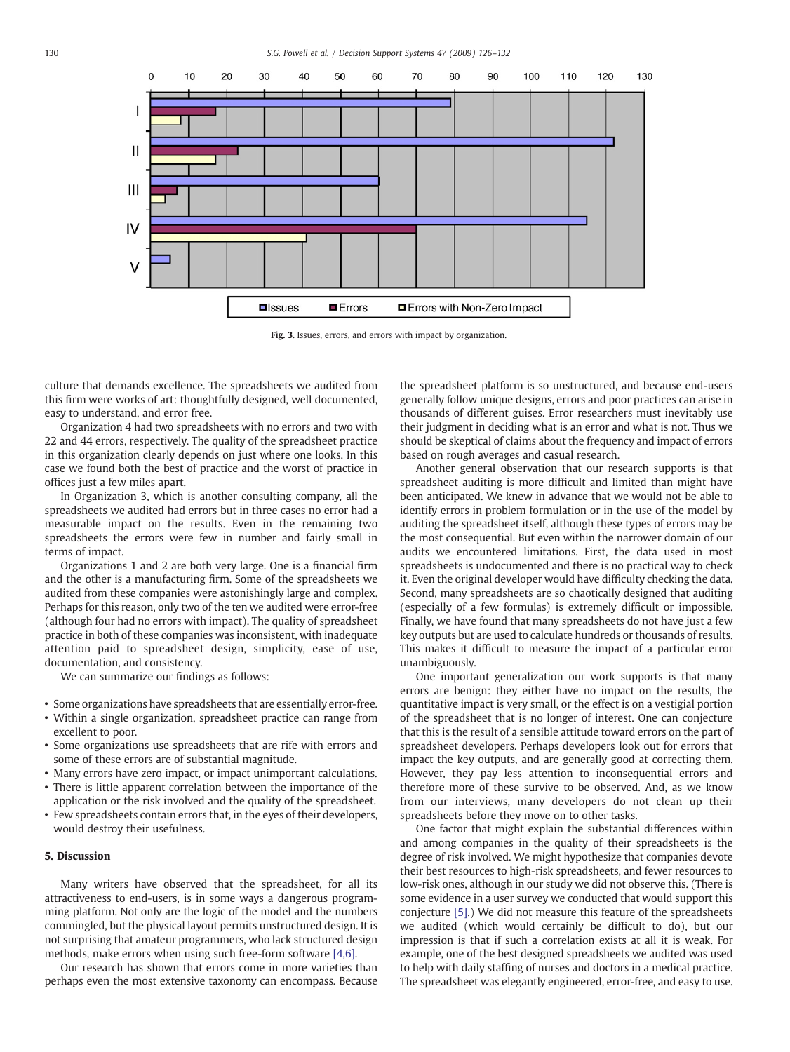<span id="page-4-0"></span>

Fig. 3. Issues, errors, and errors with impact by organization.

culture that demands excellence. The spreadsheets we audited from this firm were works of art: thoughtfully designed, well documented, easy to understand, and error free.

Organization 4 had two spreadsheets with no errors and two with 22 and 44 errors, respectively. The quality of the spreadsheet practice in this organization clearly depends on just where one looks. In this case we found both the best of practice and the worst of practice in offices just a few miles apart.

In Organization 3, which is another consulting company, all the spreadsheets we audited had errors but in three cases no error had a measurable impact on the results. Even in the remaining two spreadsheets the errors were few in number and fairly small in terms of impact.

Organizations 1 and 2 are both very large. One is a financial firm and the other is a manufacturing firm. Some of the spreadsheets we audited from these companies were astonishingly large and complex. Perhaps for this reason, only two of the ten we audited were error-free (although four had no errors with impact). The quality of spreadsheet practice in both of these companies was inconsistent, with inadequate attention paid to spreadsheet design, simplicity, ease of use, documentation, and consistency.

We can summarize our findings as follows:

- Some organizations have spreadsheets that are essentially error-free.
- Within a single organization, spreadsheet practice can range from excellent to poor.
- Some organizations use spreadsheets that are rife with errors and some of these errors are of substantial magnitude.
- Many errors have zero impact, or impact unimportant calculations. • There is little apparent correlation between the importance of the
- application or the risk involved and the quality of the spreadsheet. • Few spreadsheets contain errors that, in the eyes of their developers,
- would destroy their usefulness.

#### 5. Discussion

Many writers have observed that the spreadsheet, for all its attractiveness to end-users, is in some ways a dangerous programming platform. Not only are the logic of the model and the numbers commingled, but the physical layout permits unstructured design. It is not surprising that amateur programmers, who lack structured design methods, make errors when using such free-form software [\[4,6\].](#page-6-0)

Our research has shown that errors come in more varieties than perhaps even the most extensive taxonomy can encompass. Because the spreadsheet platform is so unstructured, and because end-users generally follow unique designs, errors and poor practices can arise in thousands of different guises. Error researchers must inevitably use their judgment in deciding what is an error and what is not. Thus we should be skeptical of claims about the frequency and impact of errors based on rough averages and casual research.

Another general observation that our research supports is that spreadsheet auditing is more difficult and limited than might have been anticipated. We knew in advance that we would not be able to identify errors in problem formulation or in the use of the model by auditing the spreadsheet itself, although these types of errors may be the most consequential. But even within the narrower domain of our audits we encountered limitations. First, the data used in most spreadsheets is undocumented and there is no practical way to check it. Even the original developer would have difficulty checking the data. Second, many spreadsheets are so chaotically designed that auditing (especially of a few formulas) is extremely difficult or impossible. Finally, we have found that many spreadsheets do not have just a few key outputs but are used to calculate hundreds or thousands of results. This makes it difficult to measure the impact of a particular error unambiguously.

One important generalization our work supports is that many errors are benign: they either have no impact on the results, the quantitative impact is very small, or the effect is on a vestigial portion of the spreadsheet that is no longer of interest. One can conjecture that this is the result of a sensible attitude toward errors on the part of spreadsheet developers. Perhaps developers look out for errors that impact the key outputs, and are generally good at correcting them. However, they pay less attention to inconsequential errors and therefore more of these survive to be observed. And, as we know from our interviews, many developers do not clean up their spreadsheets before they move on to other tasks.

One factor that might explain the substantial differences within and among companies in the quality of their spreadsheets is the degree of risk involved. We might hypothesize that companies devote their best resources to high-risk spreadsheets, and fewer resources to low-risk ones, although in our study we did not observe this. (There is some evidence in a user survey we conducted that would support this conjecture [\[5\].](#page-6-0)) We did not measure this feature of the spreadsheets we audited (which would certainly be difficult to do), but our impression is that if such a correlation exists at all it is weak. For example, one of the best designed spreadsheets we audited was used to help with daily staffing of nurses and doctors in a medical practice. The spreadsheet was elegantly engineered, error-free, and easy to use.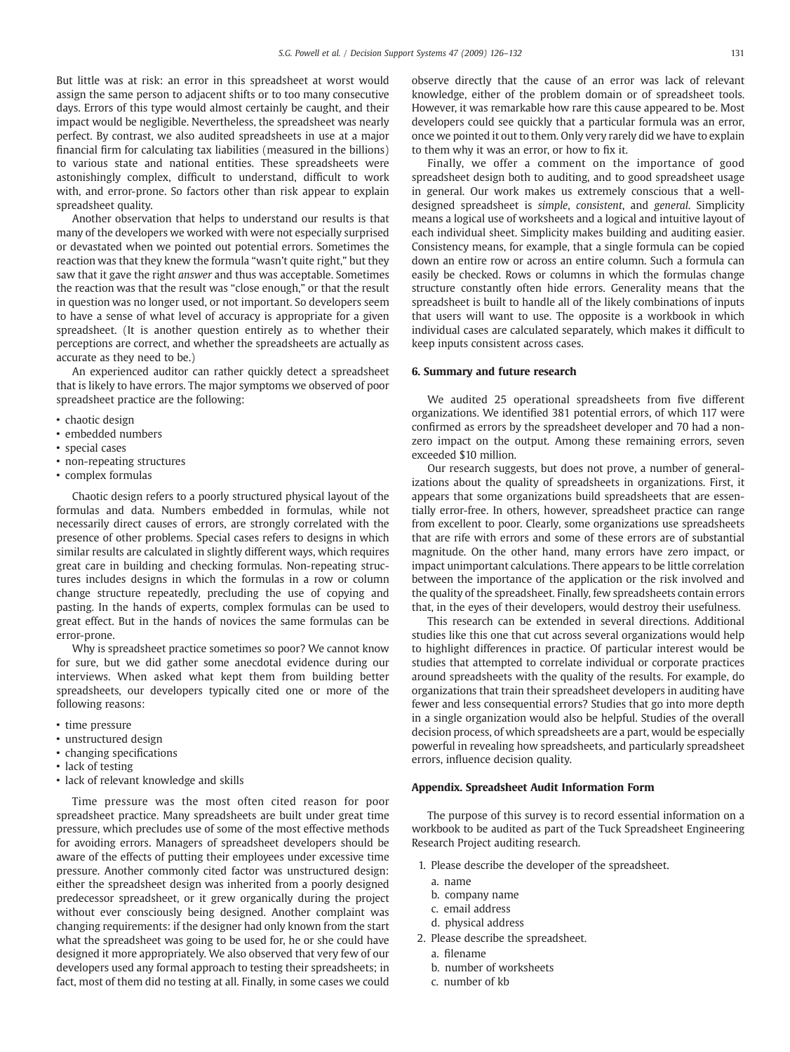<span id="page-5-0"></span>But little was at risk: an error in this spreadsheet at worst would assign the same person to adjacent shifts or to too many consecutive days. Errors of this type would almost certainly be caught, and their impact would be negligible. Nevertheless, the spreadsheet was nearly perfect. By contrast, we also audited spreadsheets in use at a major financial firm for calculating tax liabilities (measured in the billions) to various state and national entities. These spreadsheets were astonishingly complex, difficult to understand, difficult to work with, and error-prone. So factors other than risk appear to explain spreadsheet quality.

Another observation that helps to understand our results is that many of the developers we worked with were not especially surprised or devastated when we pointed out potential errors. Sometimes the reaction was that they knew the formula "wasn't quite right," but they saw that it gave the right answer and thus was acceptable. Sometimes the reaction was that the result was "close enough," or that the result in question was no longer used, or not important. So developers seem to have a sense of what level of accuracy is appropriate for a given spreadsheet. (It is another question entirely as to whether their perceptions are correct, and whether the spreadsheets are actually as accurate as they need to be.)

An experienced auditor can rather quickly detect a spreadsheet that is likely to have errors. The major symptoms we observed of poor spreadsheet practice are the following:

- chaotic design
- embedded numbers
- special cases
- non-repeating structures
- complex formulas

Chaotic design refers to a poorly structured physical layout of the formulas and data. Numbers embedded in formulas, while not necessarily direct causes of errors, are strongly correlated with the presence of other problems. Special cases refers to designs in which similar results are calculated in slightly different ways, which requires great care in building and checking formulas. Non-repeating structures includes designs in which the formulas in a row or column change structure repeatedly, precluding the use of copying and pasting. In the hands of experts, complex formulas can be used to great effect. But in the hands of novices the same formulas can be error-prone.

Why is spreadsheet practice sometimes so poor? We cannot know for sure, but we did gather some anecdotal evidence during our interviews. When asked what kept them from building better spreadsheets, our developers typically cited one or more of the following reasons:

- time pressure
- unstructured design
- changing specifications
- lack of testing
- lack of relevant knowledge and skills

Time pressure was the most often cited reason for poor spreadsheet practice. Many spreadsheets are built under great time pressure, which precludes use of some of the most effective methods for avoiding errors. Managers of spreadsheet developers should be aware of the effects of putting their employees under excessive time pressure. Another commonly cited factor was unstructured design: either the spreadsheet design was inherited from a poorly designed predecessor spreadsheet, or it grew organically during the project without ever consciously being designed. Another complaint was changing requirements: if the designer had only known from the start what the spreadsheet was going to be used for, he or she could have designed it more appropriately. We also observed that very few of our developers used any formal approach to testing their spreadsheets; in fact, most of them did no testing at all. Finally, in some cases we could

observe directly that the cause of an error was lack of relevant knowledge, either of the problem domain or of spreadsheet tools. However, it was remarkable how rare this cause appeared to be. Most developers could see quickly that a particular formula was an error, once we pointed it out to them. Only very rarely did we have to explain to them why it was an error, or how to fix it.

Finally, we offer a comment on the importance of good spreadsheet design both to auditing, and to good spreadsheet usage in general. Our work makes us extremely conscious that a welldesigned spreadsheet is simple, consistent, and general. Simplicity means a logical use of worksheets and a logical and intuitive layout of each individual sheet. Simplicity makes building and auditing easier. Consistency means, for example, that a single formula can be copied down an entire row or across an entire column. Such a formula can easily be checked. Rows or columns in which the formulas change structure constantly often hide errors. Generality means that the spreadsheet is built to handle all of the likely combinations of inputs that users will want to use. The opposite is a workbook in which individual cases are calculated separately, which makes it difficult to keep inputs consistent across cases.

#### 6. Summary and future research

We audited 25 operational spreadsheets from five different organizations. We identified 381 potential errors, of which 117 were confirmed as errors by the spreadsheet developer and 70 had a nonzero impact on the output. Among these remaining errors, seven exceeded \$10 million.

Our research suggests, but does not prove, a number of generalizations about the quality of spreadsheets in organizations. First, it appears that some organizations build spreadsheets that are essentially error-free. In others, however, spreadsheet practice can range from excellent to poor. Clearly, some organizations use spreadsheets that are rife with errors and some of these errors are of substantial magnitude. On the other hand, many errors have zero impact, or impact unimportant calculations. There appears to be little correlation between the importance of the application or the risk involved and the quality of the spreadsheet. Finally, few spreadsheets contain errors that, in the eyes of their developers, would destroy their usefulness.

This research can be extended in several directions. Additional studies like this one that cut across several organizations would help to highlight differences in practice. Of particular interest would be studies that attempted to correlate individual or corporate practices around spreadsheets with the quality of the results. For example, do organizations that train their spreadsheet developers in auditing have fewer and less consequential errors? Studies that go into more depth in a single organization would also be helpful. Studies of the overall decision process, of which spreadsheets are a part, would be especially powerful in revealing how spreadsheets, and particularly spreadsheet errors, influence decision quality.

#### Appendix. Spreadsheet Audit Information Form

The purpose of this survey is to record essential information on a workbook to be audited as part of the Tuck Spreadsheet Engineering Research Project auditing research.

- 1. Please describe the developer of the spreadsheet.
	- a. name
	- b. company name
	- c. email address
	- d. physical address
- 2. Please describe the spreadsheet.
	- a. filename
	- b. number of worksheets
	- c. number of kb